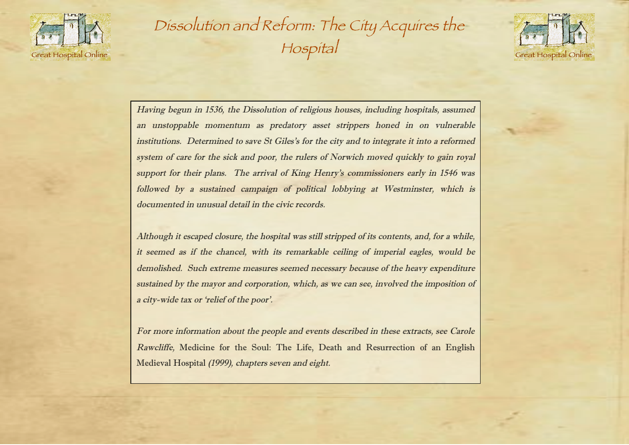

Dissolution and Reform: The City Acquires the Hospital



Having begun in 1536, the Dissolution of religious houses, including hospitals, assumed an unstoppable momentum as predatory asset strippers honed in on vulnerable institutions. Determined to save St Giles's for the city and to integrate it into a reformed system of care for the sick and poor, the rulers of Norwich moved quickly to gain royal support for their plans. The arrival of King Henry's commissioners early in 1546 was followed by a sustained campaign of political lobbying at Westminster, which is documented in unusual detail in the civic records.

Although it escaped closure, the hospital was still stripped of its contents, and, for <sup>a</sup> while, it seemed as if the chancel, with its remarkable ceiling of imperial eagles, would be demolished. Such extreme measures seemed necessary because of the heavy expenditure sustained by the mayor and corporation, which, as we can see, involved the imposition of <sup>a</sup> city-wide tax or 'relief of the poor'.

For more information about the people and events described in these extracts, see Carole Rawcliffe, Medicine for the Soul: The Life, Death and Resurrection of an English Medieval Hospital (1999), chapters seven and eight.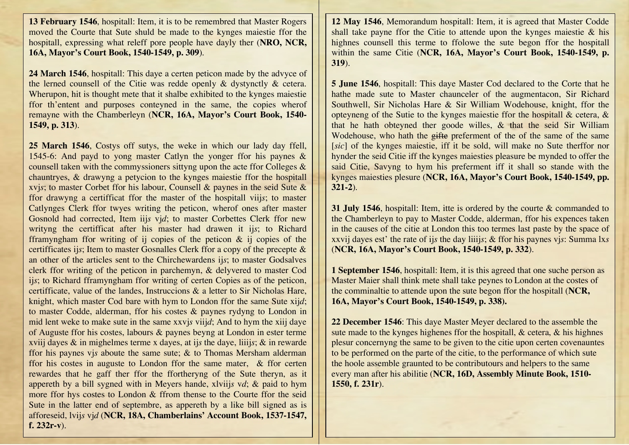**13 February 1546**, hospitall: Item, it is to be remembred that Master Rogers moved the Courte that Sute shuld be made to the kynges maiestie ffor the hospitall, expressing what releff pore people have dayly ther (**NRO, NCR, 16A, Mayor's Court Book, 1540-1549, p. 309**).

**24 March 1546**, hospitall: This daye a certen peticon made by the advyce of the lerned counsell of the Citie was redde openly & dystynctly & cetera. Wherupon, hit is thought mete that it shalbe exhibited to the kynges maiestic ffor th'entent and purposes conteyned in the same, the copies wherof remayne with the Chamberleyn (**NCR, 16A, Mayor's Court Book, 1540- 1549, p. 313**).

**25 March 1546**, Costys off sutys, the weke in which our lady day ffell, 1545-6: And payd to yong master Catlyn the yonger ffor his paynes & counsell taken with the commyssioners sittyng upon the acte ffor Colleges & chauntryes, & drawyng a petycion to the kynges maiestie ffor the hospitall xvj*s*; to master Corbet ffor his labour, Counsell & paynes in the seid Sute & ffor drawyng a certifficat ffor the master of the hospitall viij*s*; to master Catlynges Clerk ffor twyes writing the peticon, wherof ones after master Gosnold had corrected, Item iij*s* vj*d*; to master Corbettes Clerk ffor new writyng the certifficat after his master had drawen it ij*s*; to Richard fframyngham ffor writing of ij copies of the peticon & ij copies of the certifficates ij*s*; Item to master Gosnalles Clerk ffor a copy of the precepte & an other of the articles sent to the Chirchewardens ij*s*; to master Godsalves clerk ffor writing of the peticon in parchemyn, & delyvered to master Cod ij*s*; to Richard fframyngham ffor writing of certen Copies as of the peticon, certifficate, value of the landes, Instruccions & a letter to Sir Nicholas Hare, knight, which master Cod bare with hym to London ffor the same Sute xij*d*; to master Codde, alderman, ffor his costes & paynes rydyng to London in mid lent weke to make sute in the same xxvj*s* viij*d*; And to hym the xiij daye of Auguste ffor his costes, labours & paynes beyng at London in ester terme xviij dayes & in mighelmes terme x dayes, at ij*s* the daye, liiij*s*; & in rewarde ffor his paynes vj*s* aboute the same sute; & to Thomas Mersham alderman ffor his costes in auguste to London ffor the same mater, & ffor certen rewardes that he gaff ther ffor the ffortheryng of the Sute theryn, as it appereth by a bill sygned with in Meyers hande, xlviij*s* v*d*; & paid to hym more ffor hys costes to London & ffrom thense to the Courte ffor the seid Sute in the latter end of septembre, as appereth by a like bill signed as is afforeseid, lvij*s* vj*d* (**NCR, 18A, Chamberlains' Account Book, 1537-1547, f. 232r-v**).

**12 May 1546**, Memorandum hospitall: Item, it is agreed that Master Codde shall take payne ffor the Citie to attende upon the kynges maiestie  $\&$  his highnes counsell this terme to ffolowe the sute begon ffor the hospitall within the same Citie (**NCR, 16A, Mayor's Court Book, 1540-1549, p. 319**).

**5 June 1546**, hospitall: This daye Master Cod declared to the Corte that he hathe made sute to Master chaunceler of the augmentacon, Sir Richard Southwell, Sir Nicholas Hare & Sir William Wodehouse, knight, ffor the opteyneng of the Sutie to the kynges maiestie ffor the hospitall & cetera, & that he hath obteyned ther goode willes, & that the seid Sir William Wodehouse, who hath the gifte preferment of the of the same of the same [*sic*] of the kynges maiestie, iff it be sold, will make no Sute therffor nor hynder the seid Citie iff the kynges maiesties pleasure be mynded to offer the said Citie, Savyng to hym his preferment iff it shall so stande with the kynges maiesties plesure (**NCR, 16A, Mayor's Court Book, 1540-1549, pp. 321-2**).

**31 July 1546**, hospitall: Item, itte is ordered by the courte & commanded to the Chamberleyn to pay to Master Codde, alderman, ffor his expences taken in the causes of the citie at London this too termes last paste by the space of xxvij dayes est' the rate of ij*s* the day liiij*s*; & ffor his paynes vj*s*: Summa lx*s* (**NCR, 16A, Mayor's Court Book, 1540-1549, p. 332**).

**1 September 1546**, hospitall: Item, it is this agreed that one suche person as Master Maier shall think mete shall take peynes to London at the costes of the comminaltie to attende upon the sute begon ffor the hospitall (**NCR, 16A, Mayor's Court Book, 1540-1549, p. 338).**

**22 December 1546**: This daye Master Meyer declared to the assemble the sute made to the kynges highenes ffor the hospitall, & cetera, & his highnes plesur concernyng the same to be given to the citie upon certen covenauntes to be performed on the parte of the citie, to the performance of which sute the hoole assemble graunted to be contributours and helpers to the same every man after his abilitie (**NCR, 16D, Assembly Minute Book, 1510- 1550, f. 231r**).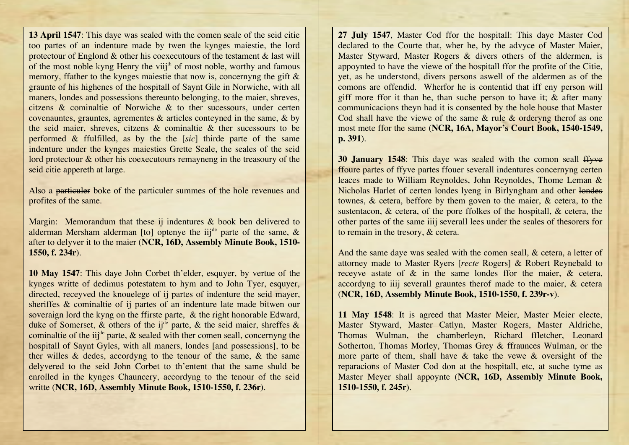**13 April 1547**: This daye was sealed with the comen seale of the seid citie too partes of an indenture made by twen the kynges maiestie, the lord protectour of Englond & other his coexecutours of the testament & last will of the most noble kyng Henry the viij<sup>th</sup> of most noble, worthy and famous memory, ffather to the kynges maiestie that now is, concernyng the gift & graunte of his highenes of the hospitall of Saynt Gile in Norwiche, with all maners, londes and possessions thereunto belonging, to the maier, shreves, citzens & cominaltie of Norwiche & to ther sucessours, under certen covenauntes, grauntes, agrementes & articles conteyned in the same, & by the seid maier, shreves, citzens & cominaltie & ther sucessours to be performed & ffulfilled, as by the the [*sic*] thirde parte of the same indenture under the kynges maiesties Grette Seale, the seales of the seid lord protectour & other his coexecutours remayneng in the treasoury of the seid citie appereth at large.

Also a particuler boke of the particuler summes of the hole revenues and profites of the same.

Margin: Memorandum that these ij indentures & book ben delivered to alderman Mersham alderman [to] optenye the iij<sup>de</sup> parte of the same, & after to delyver it to the maier (**NCR, 16D, Assembly Minute Book, 1510- 1550, f. 234r**).

**10 May 1547**: This daye John Corbet th'elder, esquyer, by vertue of the kynges writte of dedimus potestatem to hym and to John Tyer, esquyer, directed, receyved the knouelege of  $\frac{1}{2}$  partes of indenture the seid mayer, sheriffes & cominaltie of ij partes of an indenture late made bitwen our soveraign lord the kyng on the ffirste parte, & the right honorable Edward, duke of Somerset, & others of the ij<sup>de</sup> parte, & the seid maier, shreffes & cominaltie of the iij<sup>de</sup> parte,  $\&$  sealed with ther comen seall, concernyng the hospitall of Saynt Gyles, with all maners, londes [and possessions], to be ther willes & dedes, accordyng to the tenour of the same, & the same delyvered to the seid John Corbet to th'entent that the same shuld be enrolled in the kynges Chauncery, accordyng to the tenour of the seid writte (**NCR, 16D, Assembly Minute Book, 1510-1550, f. 236r**).

**27 July 1547**, Master Cod ffor the hospitall: This daye Master Cod declared to the Courte that, wher he, by the advyce of Master Maier, Master Styward, Master Rogers & divers others of the aldermen, is appoynted to have the viewe of the hospitall ffor the profite of the Citie, yet, as he understond, divers persons aswell of the aldermen as of the comons are offendid. Wherfor he is contentid that iff eny person will giff more ffor it than he, than suche person to have it; & after many communicacions theyn had it is consented by the hole house that Master Cod shall have the viewe of the same  $\&$  rule  $\&$  orderyng therof as one most mete ffor the same (**NCR, 16A, Mayor's Court Book, 1540-1549, p. 391**).

**30 January 1548**: This daye was sealed with the comon seall ffyve ffoure partes of ffyve partes ffouer severall indentures concernyng certen leaces made to William Reynoldes, John Reynoldes, Thome Leman & Nicholas Harlet of certen londes lyeng in Birlyngham and other londes townes, & cetera, beffore by them goven to the maier, & cetera, to the sustentacon, & cetera, of the pore ffolkes of the hospitall, & cetera, the other partes of the same iiij severall lees under the seales of thesorers for to remain in the tresory, & cetera.

And the same daye was sealed with the comen seall, & cetera, a letter of attorney made to Master Ryers [*recte* Rogers] & Robert Reynebald to receyve astate of & in the same londes ffor the maier, & cetera, accordyng to iiij severall grauntes therof made to the maier, & cetera (**NCR, 16D, Assembly Minute Book, 1510-1550, f. 239r-v**).

**11 May 1548**: It is agreed that Master Meier, Master Meier electe, Master Styward, Master Catlyn, Master Rogers, Master Aldriche, Thomas Wulman, the chamberleyn, Richard ffletcher, Leonard Sotherton, Thomas Morley, Thomas Grey & ffraunces Wulman, or the more parte of them, shall have & take the vewe & oversight of the reparacions of Master Cod don at the hospitall, etc, at suche tyme as Master Meyer shall appoynte (**NCR, 16D, Assembly Minute Book, 1510-1550, f. 245r**).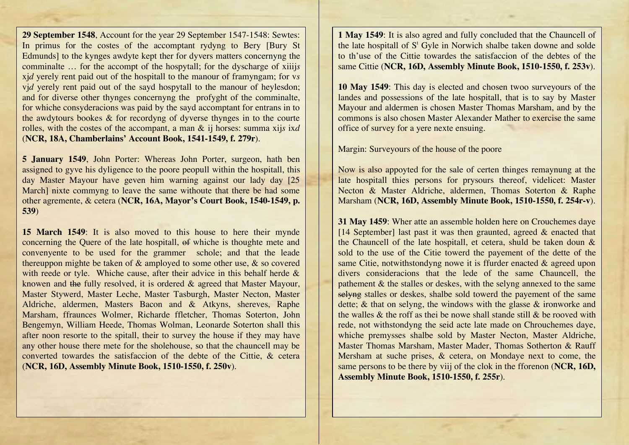**29 September 1548**, Account for the year 29 September 1547-1548: Sewtes: In primus for the costes of the accomptant rydyng to Bery [Bury St Edmunds] to the kynges awdyte kept ther for dyvers matters concernyng the comminalte … for the accompt of the hospytall; for the dyscharge of xiiij*s* xj*d* yerely rent paid out of the hospitall to the manour of framyngam; for v*s* vid yerely rent paid out of the sayd hospytall to the manour of heylesdon; and for diverse other thynges concernyng the profyght of the comminalte, for whiche consyderacions was paid by the sayd accomptant for entrans in to the awdytours bookes & for recordyng of dyverse thynges in to the courte rolles, with the costes of the accompant, a man & ij horses: summa xij*s* ix*d* (**NCR, 18A, Chamberlains' Account Book, 1541-1549, f. 279r**).

**5 January 1549**, John Porter: Whereas John Porter, surgeon, hath ben assigned to gyve his dyligence to the poore peopull within the hospitall, this day Master Mayour have geven him warning against our lady day [25 March] nixte commyng to leave the same withoute that there be had some other agremente, & cetera (**NCR, 16A, Mayor's Court Book, 1540-1549, p. 539**)

**15 March 1549**: It is also moved to this house to here their mynde concerning the Quere of the late hospitall, of whiche is thoughte mete and convenyente to be used for the grammer schole; and that the leade thereuppon mighte be taken of & amployed to some other use, & so covered with reede or tyle. Whiche cause, after their advice in this behalf herde & knowen and the fully resolved, it is ordered & agreed that Master Mayour, Master Stywerd, Master Leche, Master Tasburgh, Master Necton, Master Aldriche, aldermen, Masters Bacon and & Atkyns, shereves, Raphe Marsham, ffraunces Wolmer, Richarde ffletcher, Thomas Soterton, John Bengemyn, William Heede, Thomas Wolman, Leonarde Soterton shall this after noon resorte to the spitall, their to survey the house if they may have any other house there mete for the sholehouse, so that the chauncell may be converted towardes the satisfaccion of the debte of the Cittie, & cetera (**NCR, 16D, Assembly Minute Book, 1510-1550, f. 250v**).

**1 May 1549**: It is also agred and fully concluded that the Chauncell of the late hospitall of  $S<sup>t</sup>$  Gyle in Norwich shalbe taken downe and solde to th'use of the Cittie towardes the satisfaccion of the debtes of the same Cittie (**NCR, 16D, Assembly Minute Book, 1510-1550, f. 253v**).

**10 May 1549**: This day is elected and chosen twoo surveyours of the landes and possessions of the late hospitall, that is to say by Master Mayour and aldermen is chosen Master Thomas Marsham, and by the commons is also chosen Master Alexander Mather to exercise the same office of survey for a yere nexte ensuing.

Margin: Surveyours of the house of the poore

Now is also appoyted for the sale of certen thinges remaynung at the late hospitall thies persons for prysours thereof, videlicet: Master Necton & Master Aldriche, aldermen, Thomas Soterton & Raphe Marsham (**NCR, 16D, Assembly Minute Book, 1510-1550, f. 254r-v**).

**31 May 1459**: Wher atte an assemble holden here on Crouchemes daye [14 September] last past it was then graunted, agreed  $\&$  enacted that the Chauncell of the late hospitall, et cetera, shuld be taken doun & sold to the use of the Citie towerd the payement of the dette of the same Citie, notwithstondyng nowe it is ffurder enacted & agreed upon divers consideracions that the lede of the same Chauncell, the pathement & the stalles or deskes, with the selyng annexed to the same selving stalles or deskes, shalbe sold towerd the payement of the same dette; & that on selyng, the windows with the glasse & ironworke and the walles & the roff as thei be nowe shall stande still & be rooved with rede, not withstondyng the seid acte late made on Chrouchemes daye, whiche premysses shalbe sold by Master Necton, Master Aldriche, Master Thomas Marsham, Master Mader, Thomas Sotherton & Rauff Mersham at suche prises, & cetera, on Mondaye next to come, the same persons to be there by viij of the clok in the fforenon (**NCR, 16D, Assembly Minute Book, 1510-1550, f. 255r**).